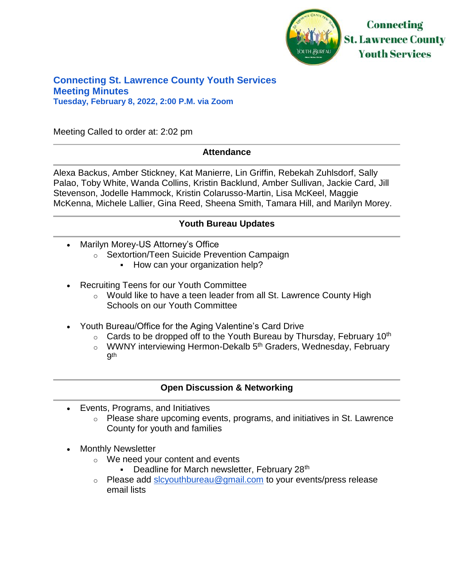

#### **Connecting St. Lawrence County Youth Services Meeting Minutes Tuesday, February 8, 2022, 2:00 P.M. via Zoom**

Meeting Called to order at: 2:02 pm

## **Attendance**

Alexa Backus, Amber Stickney, Kat Manierre, Lin Griffin, Rebekah Zuhlsdorf, Sally Palao, Toby White, Wanda Collins, Kristin Backlund, Amber Sullivan, Jackie Card, Jill Stevenson, Jodelle Hammock, Kristin Colarusso-Martin, Lisa McKeel, Maggie McKenna, Michele Lallier, Gina Reed, Sheena Smith, Tamara Hill, and Marilyn Morey.

# **Youth Bureau Updates**

- Marilyn Morey-US Attorney's Office
	- o Sextortion/Teen Suicide Prevention Campaign
		- How can your organization help?
- Recruiting Teens for our Youth Committee
	- o Would like to have a teen leader from all St. Lawrence County High Schools on our Youth Committee
- Youth Bureau/Office for the Aging Valentine's Card Drive
	- $\circ$  Cards to be dropped off to the Youth Bureau by Thursday, February 10<sup>th</sup>
	- o WWNY interviewing Hermon-Dekalb 5<sup>th</sup> Graders, Wednesday, February 9 th

## **Open Discussion & Networking**

- Events, Programs, and Initiatives
	- o Please share upcoming events, programs, and initiatives in St. Lawrence County for youth and families
- Monthly Newsletter
	- o We need your content and events
		- Deadline for March newsletter, February 28<sup>th</sup>
	- o Please add [slcyouthbureau@gmail.com](mailto:slcyouthbureau@gmail.com) to your events/press release email lists